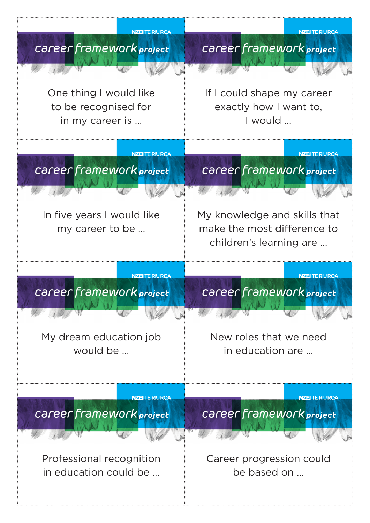